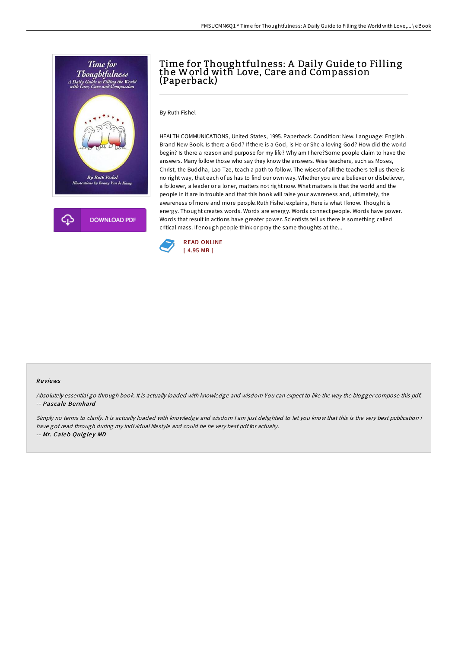

## Time for Thoughtfulness: A Daily Guide to Filling the World with Love, Care and Compassion (Paperback)

By Ruth Fishel

HEALTH COMMUNICATIONS, United States, 1995. Paperback. Condition: New. Language: English . Brand New Book. Is there a God? If there is a God, is He or She a loving God? How did the world begin? Is there a reason and purpose for my life? Why am I here?Some people claim to have the answers. Many follow those who say they know the answers. Wise teachers, such as Moses, Christ, the Buddha, Lao Tze, teach a path to follow. The wisest of all the teachers tell us there is no right way, that each of us has to find our own way. Whether you are a believer or disbeliever, a follower, a leader or a loner, matters not right now. What matters is that the world and the people in it are in trouble and that this book will raise your awareness and, ultimately, the awareness of more and more people.Ruth Fishel explains, Here is what I know. Thought is energy. Thought creates words. Words are energy. Words connect people. Words have power. Words that result in actions have greater power. Scientists tell us there is something called critical mass. If enough people think or pray the same thoughts at the...



## Re views

Absolutely essential go through book. It is actually loaded with knowledge and wisdom You can expect to like the way the blogger compose this pdf. -- Pascale Bernhard

Simply no terms to clarify. It is actually loaded with knowledge and wisdom I am just delighted to let you know that this is the very best publication i have got read through during my individual lifestyle and could be he very best pdf for actually. -- Mr. Caleb Quigley MD